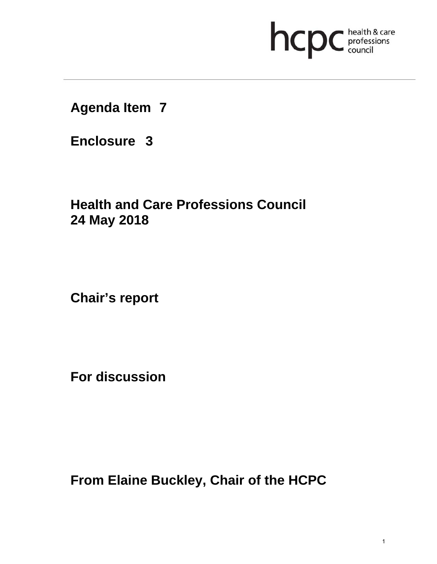# **health & care**

**Agenda Item 7** 

**Enclosure 3**

# **Health and Care Professions Council 24 May 2018**

**Chair's report** 

**For discussion** 

**From Elaine Buckley, Chair of the HCPC**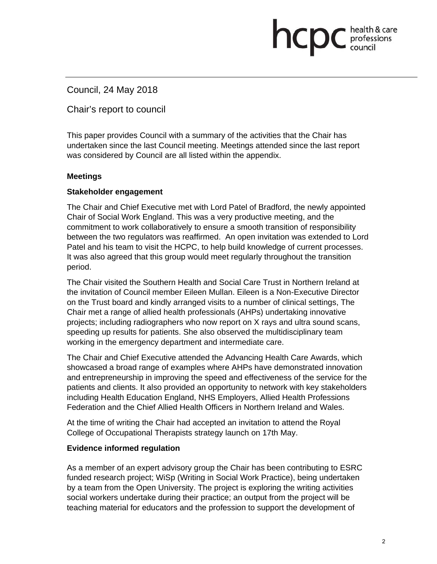### Council, 24 May 2018

Chair's report to council

This paper provides Council with a summary of the activities that the Chair has undertaken since the last Council meeting. Meetings attended since the last report was considered by Council are all listed within the appendix.

**health & care** 

#### **Meetings**

#### **Stakeholder engagement**

The Chair and Chief Executive met with Lord Patel of Bradford, the newly appointed Chair of Social Work England. This was a very productive meeting, and the commitment to work collaboratively to ensure a smooth transition of responsibility between the two regulators was reaffirmed. An open invitation was extended to Lord Patel and his team to visit the HCPC, to help build knowledge of current processes. It was also agreed that this group would meet regularly throughout the transition period.

The Chair visited the Southern Health and Social Care Trust in Northern Ireland at the invitation of Council member Eileen Mullan. Eileen is a Non-Executive Director on the Trust board and kindly arranged visits to a number of clinical settings, The Chair met a range of allied health professionals (AHPs) undertaking innovative projects; including radiographers who now report on X rays and ultra sound scans, speeding up results for patients. She also observed the multidisciplinary team working in the emergency department and intermediate care.

The Chair and Chief Executive attended the Advancing Health Care Awards, which showcased a broad range of examples where AHPs have demonstrated innovation and entrepreneurship in improving the speed and effectiveness of the service for the patients and clients. It also provided an opportunity to network with key stakeholders including Health Education England, NHS Employers, Allied Health Professions Federation and the Chief Allied Health Officers in Northern Ireland and Wales.

At the time of writing the Chair had accepted an invitation to attend the Royal College of Occupational Therapists strategy launch on 17th May.

#### **Evidence informed regulation**

As a member of an expert advisory group the Chair has been contributing to ESRC funded research project; WiSp (Writing in Social Work Practice), being undertaken by a team from the Open University. The project is exploring the writing activities social workers undertake during their practice; an output from the project will be teaching material for educators and the profession to support the development of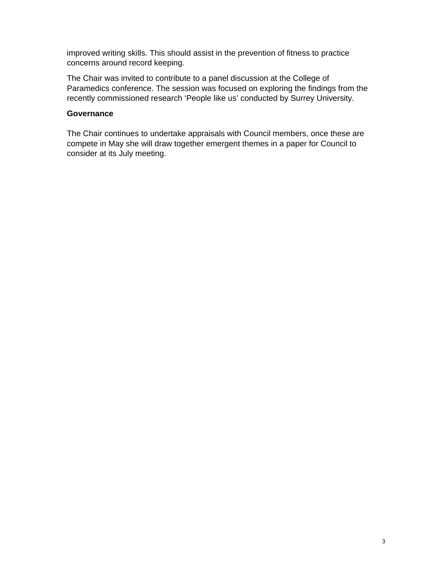improved writing skills. This should assist in the prevention of fitness to practice concerns around record keeping.

The Chair was invited to contribute to a panel discussion at the College of Paramedics conference. The session was focused on exploring the findings from the recently commissioned research 'People like us' conducted by Surrey University.

#### **Governance**

The Chair continues to undertake appraisals with Council members, once these are compete in May she will draw together emergent themes in a paper for Council to consider at its July meeting.